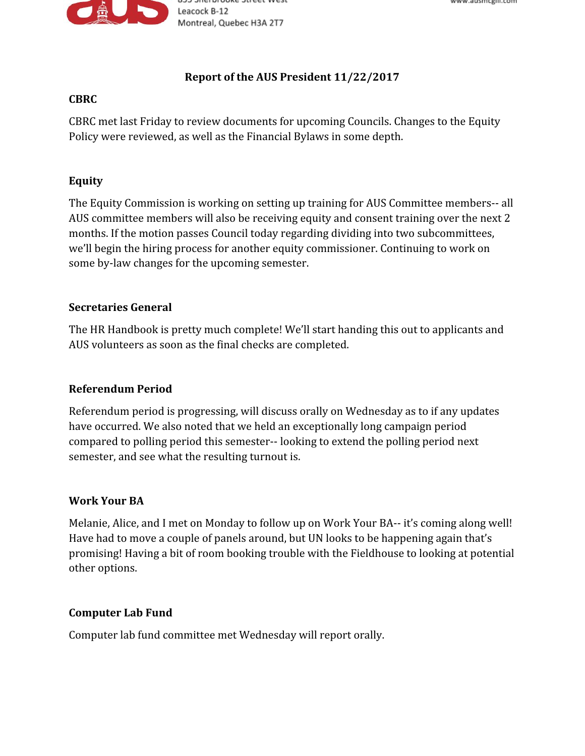

# **Report of the AUS President 11/22/2017**

#### **CBRC**

CBRC met last Friday to review documents for upcoming Councils. Changes to the Equity Policy were reviewed, as well as the Financial Bylaws in some depth.

# **Equity**

The Equity Commission is working on setting up training for AUS Committee members-- all AUS committee members will also be receiving equity and consent training over the next 2 months. If the motion passes Council today regarding dividing into two subcommittees, we'll begin the hiring process for another equity commissioner. Continuing to work on some by-law changes for the upcoming semester.

## **Secretaries General**

The HR Handbook is pretty much complete! We'll start handing this out to applicants and AUS volunteers as soon as the final checks are completed.

## **Referendum Period**

Referendum period is progressing, will discuss orally on Wednesday as to if any updates have occurred. We also noted that we held an exceptionally long campaign period compared to polling period this semester-- looking to extend the polling period next semester, and see what the resulting turnout is.

## **Work Your BA**

Melanie, Alice, and I met on Monday to follow up on Work Your BA-- it's coming along well! Have had to move a couple of panels around, but UN looks to be happening again that's promising! Having a bit of room booking trouble with the Fieldhouse to looking at potential other options.

## **Computer Lab Fund**

Computer lab fund committee met Wednesday will report orally.